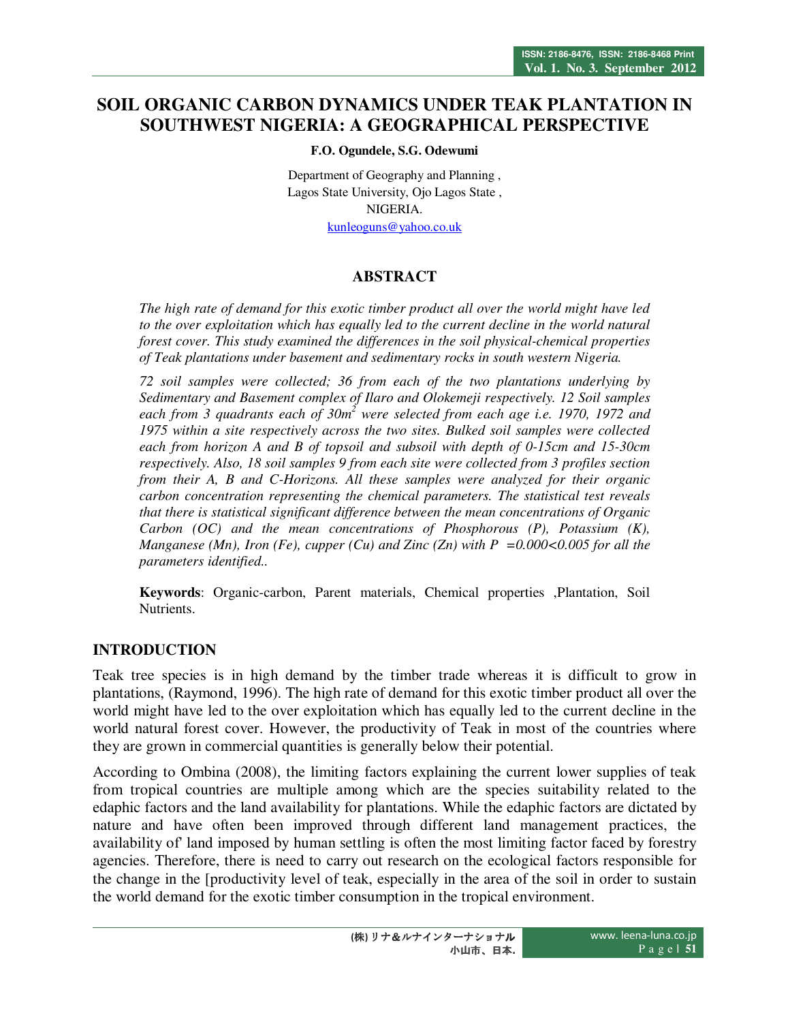# **SOIL ORGANIC CARBON DYNAMICS UNDER TEAK PLANTATION IN SOUTHWEST NIGERIA: A GEOGRAPHICAL PERSPECTIVE**

#### **F.O. Ogundele, S.G. Odewumi**

Department of Geography and Planning , Lagos State University, Ojo Lagos State , NIGERIA. kunleoguns@yahoo.co.uk

### **ABSTRACT**

*The high rate of demand for this exotic timber product all over the world might have led*  to the over exploitation which has equally led to the current decline in the world natural *forest cover. This study examined the differences in the soil physical-chemical properties of Teak plantations under basement and sedimentary rocks in south western Nigeria.*

*72 soil samples were collected; 36 from each of the two plantations underlying by Sedimentary and Basement complex of Ilaro and Olokemeji respectively. 12 Soil samples*  each from 3 quadrants each of 30m<sup>2</sup> were selected from each age i.e. 1970, 1972 and *1975 within a site respectively across the two sites. Bulked soil samples were collected each from horizon A and B of topsoil and subsoil with depth of 0-15cm and 15-30cm respectively. Also, 18 soil samples 9 from each site were collected from 3 profiles section from their A, B and C-Horizons. All these samples were analyzed for their organic carbon concentration representing the chemical parameters. The statistical test reveals that there is statistical significant difference between the mean concentrations of Organic Carbon (OC) and the mean concentrations of Phosphorous (P), Potassium (K), Manganese (Mn), Iron (Fe), cupper (Cu) and Zinc (Zn) with P =0.000<0.005 for all the parameters identified..* 

**Keywords**: Organic-carbon, Parent materials, Chemical properties ,Plantation, Soil Nutrients.

### **INTRODUCTION**

Teak tree species is in high demand by the timber trade whereas it is difficult to grow in plantations, (Raymond, 1996). The high rate of demand for this exotic timber product all over the world might have led to the over exploitation which has equally led to the current decline in the world natural forest cover. However, the productivity of Teak in most of the countries where they are grown in commercial quantities is generally below their potential.

According to Ombina (2008), the limiting factors explaining the current lower supplies of teak from tropical countries are multiple among which are the species suitability related to the edaphic factors and the land availability for plantations. While the edaphic factors are dictated by nature and have often been improved through different land management practices, the availability of' land imposed by human settling is often the most limiting factor faced by forestry agencies. Therefore, there is need to carry out research on the ecological factors responsible for the change in the [productivity level of teak, especially in the area of the soil in order to sustain the world demand for the exotic timber consumption in the tropical environment.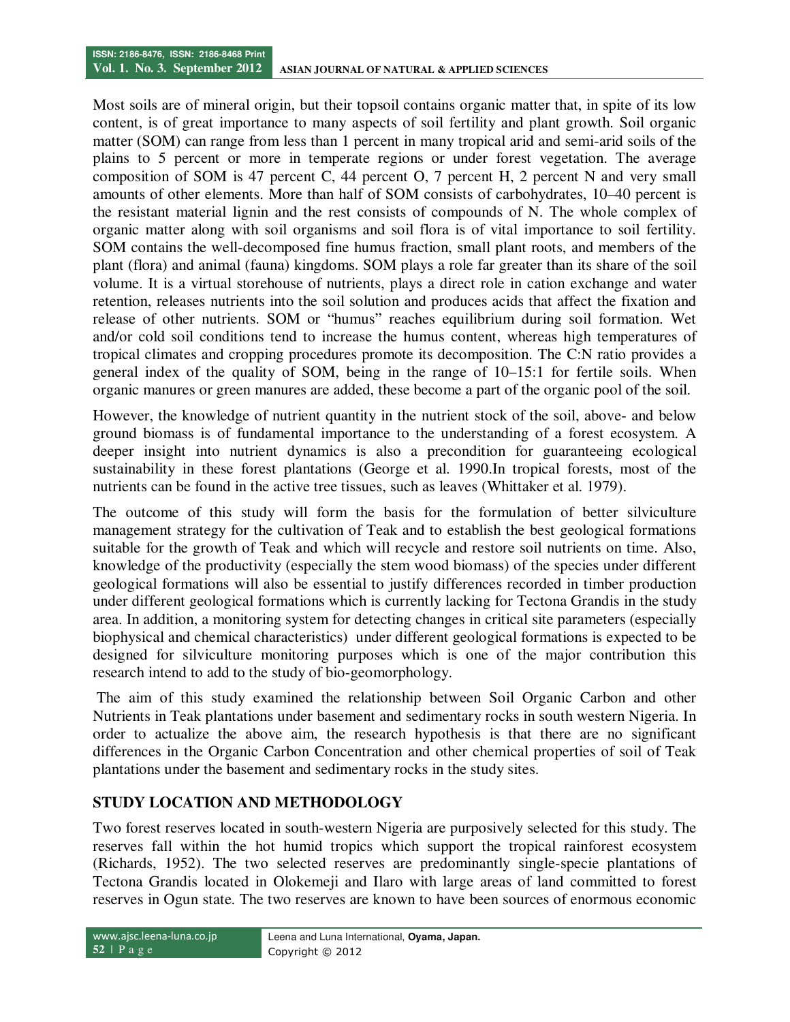Most soils are of mineral origin, but their topsoil contains organic matter that, in spite of its low content, is of great importance to many aspects of soil fertility and plant growth. Soil organic matter (SOM) can range from less than 1 percent in many tropical arid and semi-arid soils of the plains to 5 percent or more in temperate regions or under forest vegetation. The average composition of SOM is 47 percent C, 44 percent O, 7 percent H, 2 percent N and very small amounts of other elements. More than half of SOM consists of carbohydrates, 10–40 percent is the resistant material lignin and the rest consists of compounds of N. The whole complex of organic matter along with soil organisms and soil flora is of vital importance to soil fertility. SOM contains the well-decomposed fine humus fraction, small plant roots, and members of the plant (flora) and animal (fauna) kingdoms. SOM plays a role far greater than its share of the soil volume. It is a virtual storehouse of nutrients, plays a direct role in cation exchange and water retention, releases nutrients into the soil solution and produces acids that affect the fixation and release of other nutrients. SOM or "humus" reaches equilibrium during soil formation. Wet and/or cold soil conditions tend to increase the humus content, whereas high temperatures of tropical climates and cropping procedures promote its decomposition. The C:N ratio provides a general index of the quality of SOM, being in the range of 10–15:1 for fertile soils. When organic manures or green manures are added, these become a part of the organic pool of the soil.

However, the knowledge of nutrient quantity in the nutrient stock of the soil, above- and below ground biomass is of fundamental importance to the understanding of a forest ecosystem. A deeper insight into nutrient dynamics is also a precondition for guaranteeing ecological sustainability in these forest plantations (George et al. 1990.In tropical forests, most of the nutrients can be found in the active tree tissues, such as leaves (Whittaker et al. 1979).

The outcome of this study will form the basis for the formulation of better silviculture management strategy for the cultivation of Teak and to establish the best geological formations suitable for the growth of Teak and which will recycle and restore soil nutrients on time. Also, knowledge of the productivity (especially the stem wood biomass) of the species under different geological formations will also be essential to justify differences recorded in timber production under different geological formations which is currently lacking for Tectona Grandis in the study area. In addition, a monitoring system for detecting changes in critical site parameters (especially biophysical and chemical characteristics) under different geological formations is expected to be designed for silviculture monitoring purposes which is one of the major contribution this research intend to add to the study of bio-geomorphology.

 The aim of this study examined the relationship between Soil Organic Carbon and other Nutrients in Teak plantations under basement and sedimentary rocks in south western Nigeria. In order to actualize the above aim, the research hypothesis is that there are no significant differences in the Organic Carbon Concentration and other chemical properties of soil of Teak plantations under the basement and sedimentary rocks in the study sites.

# **STUDY LOCATION AND METHODOLOGY**

Two forest reserves located in south-western Nigeria are purposively selected for this study. The reserves fall within the hot humid tropics which support the tropical rainforest ecosystem (Richards, 1952). The two selected reserves are predominantly single-specie plantations of Tectona Grandis located in Olokemeji and Ilaro with large areas of land committed to forest reserves in Ogun state. The two reserves are known to have been sources of enormous economic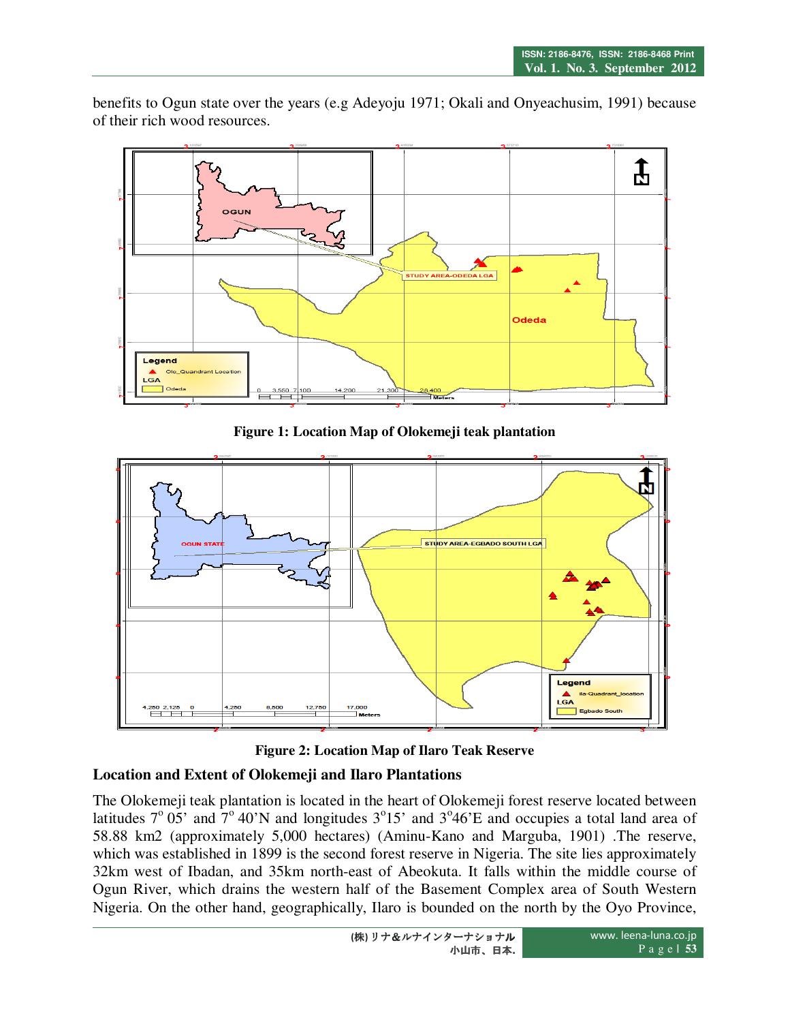benefits to Ogun state over the years (e.g Adeyoju 1971; Okali and Onyeachusim, 1991) because of their rich wood resources.



**Figure 1: Location Map of Olokemeji teak plantation** 



**Figure 2: Location Map of Ilaro Teak Reserve** 

# **Location and Extent of Olokemeji and Ilaro Plantations**

The Olokemeji teak plantation is located in the heart of Olokemeji forest reserve located between latitudes  $7^{\circ}$  05' and  $7^{\circ}$  40'N and longitudes  $3^{\circ}15'$  and  $3^{\circ}46'E$  and occupies a total land area of 58.88 km2 (approximately 5,000 hectares) (Aminu-Kano and Marguba, 1901) .The reserve, which was established in 1899 is the second forest reserve in Nigeria. The site lies approximately 32km west of Ibadan, and 35km north-east of Abeokuta. It falls within the middle course of Ogun River, which drains the western half of the Basement Complex area of South Western Nigeria. On the other hand, geographically, Ilaro is bounded on the north by the Oyo Province,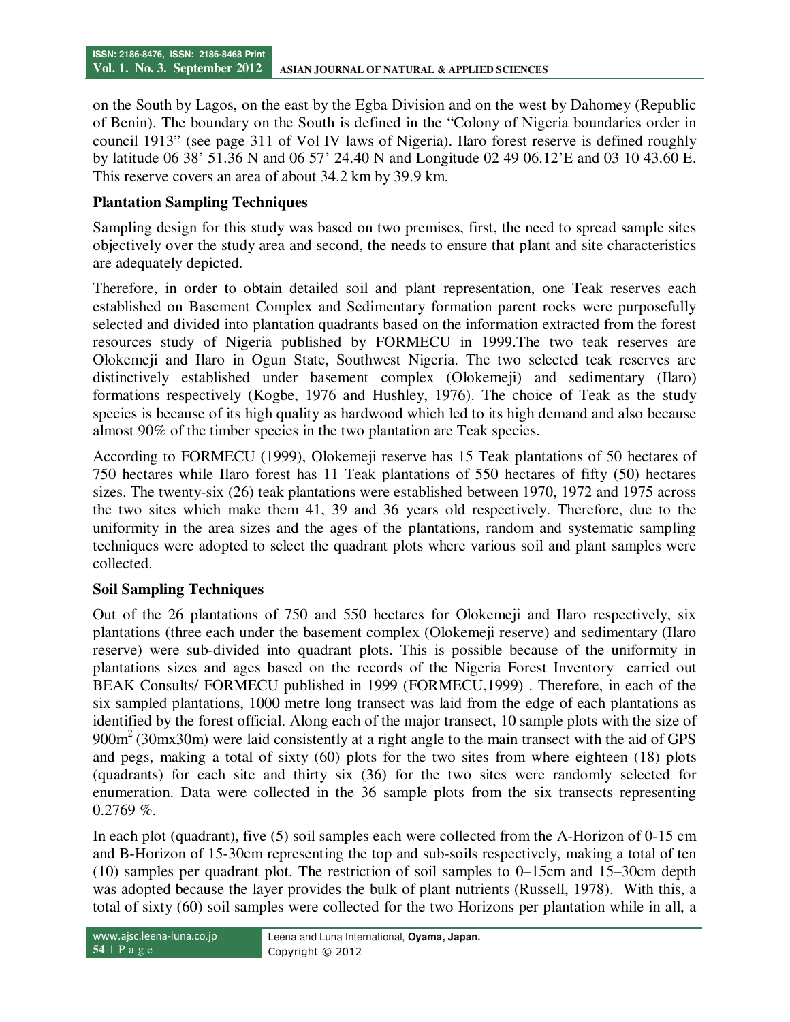on the South by Lagos, on the east by the Egba Division and on the west by Dahomey (Republic of Benin). The boundary on the South is defined in the "Colony of Nigeria boundaries order in council 1913" (see page 311 of Vol IV laws of Nigeria). Ilaro forest reserve is defined roughly by latitude 06 38' 51.36 N and 06 57' 24.40 N and Longitude 02 49 06.12'E and 03 10 43.60 E. This reserve covers an area of about 34.2 km by 39.9 km.

## **Plantation Sampling Techniques**

Sampling design for this study was based on two premises, first, the need to spread sample sites objectively over the study area and second, the needs to ensure that plant and site characteristics are adequately depicted.

Therefore, in order to obtain detailed soil and plant representation, one Teak reserves each established on Basement Complex and Sedimentary formation parent rocks were purposefully selected and divided into plantation quadrants based on the information extracted from the forest resources study of Nigeria published by FORMECU in 1999.The two teak reserves are Olokemeji and Ilaro in Ogun State, Southwest Nigeria. The two selected teak reserves are distinctively established under basement complex (Olokemeji) and sedimentary (Ilaro) formations respectively (Kogbe, 1976 and Hushley, 1976). The choice of Teak as the study species is because of its high quality as hardwood which led to its high demand and also because almost 90% of the timber species in the two plantation are Teak species.

According to FORMECU (1999), Olokemeji reserve has 15 Teak plantations of 50 hectares of 750 hectares while Ilaro forest has 11 Teak plantations of 550 hectares of fifty (50) hectares sizes. The twenty-six (26) teak plantations were established between 1970, 1972 and 1975 across the two sites which make them 41, 39 and 36 years old respectively. Therefore, due to the uniformity in the area sizes and the ages of the plantations, random and systematic sampling techniques were adopted to select the quadrant plots where various soil and plant samples were collected.

### **Soil Sampling Techniques**

Out of the 26 plantations of 750 and 550 hectares for Olokemeji and Ilaro respectively, six plantations (three each under the basement complex (Olokemeji reserve) and sedimentary (Ilaro reserve) were sub-divided into quadrant plots. This is possible because of the uniformity in plantations sizes and ages based on the records of the Nigeria Forest Inventory carried out BEAK Consults/ FORMECU published in 1999 (FORMECU,1999) . Therefore, in each of the six sampled plantations, 1000 metre long transect was laid from the edge of each plantations as identified by the forest official. Along each of the major transect, 10 sample plots with the size of  $900m<sup>2</sup>$  (30mx30m) were laid consistently at a right angle to the main transect with the aid of GPS and pegs, making a total of sixty (60) plots for the two sites from where eighteen (18) plots (quadrants) for each site and thirty six (36) for the two sites were randomly selected for enumeration. Data were collected in the 36 sample plots from the six transects representing  $0.2769\%$ .

In each plot (quadrant), five (5) soil samples each were collected from the A-Horizon of 0-15 cm and B-Horizon of 15-30cm representing the top and sub-soils respectively, making a total of ten (10) samples per quadrant plot. The restriction of soil samples to 0–15cm and 15–30cm depth was adopted because the layer provides the bulk of plant nutrients (Russell, 1978). With this, a total of sixty (60) soil samples were collected for the two Horizons per plantation while in all, a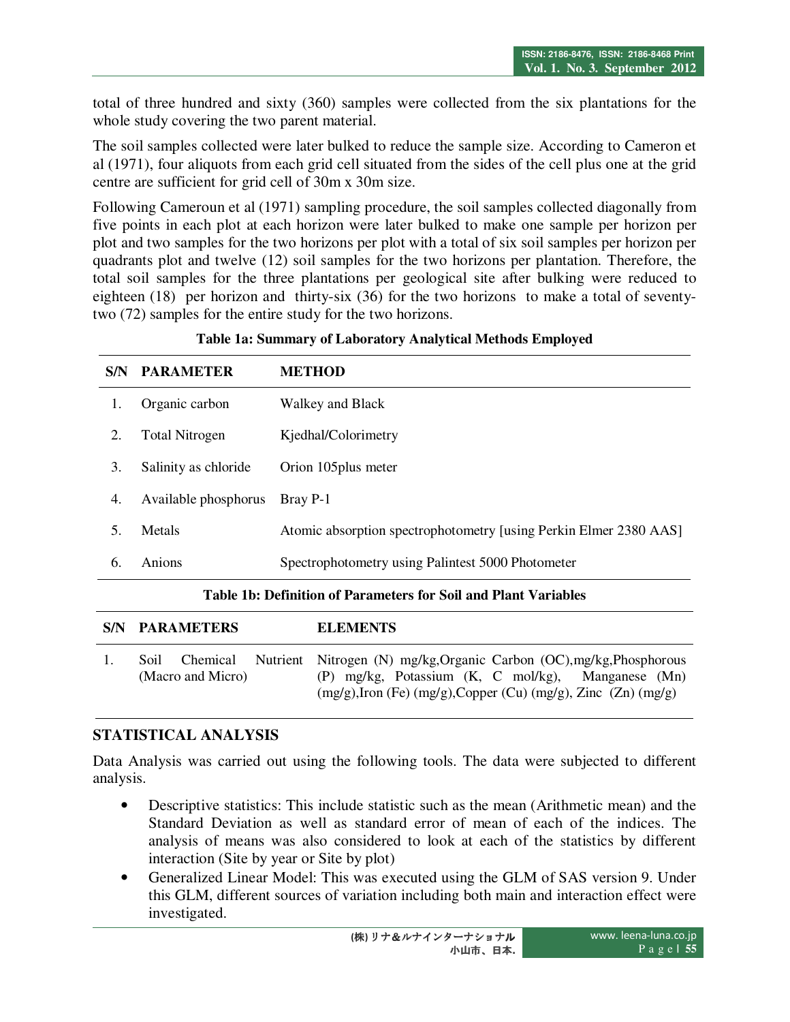total of three hundred and sixty (360) samples were collected from the six plantations for the whole study covering the two parent material.

The soil samples collected were later bulked to reduce the sample size. According to Cameron et al (1971), four aliquots from each grid cell situated from the sides of the cell plus one at the grid centre are sufficient for grid cell of 30m x 30m size.

Following Cameroun et al (1971) sampling procedure, the soil samples collected diagonally from five points in each plot at each horizon were later bulked to make one sample per horizon per plot and two samples for the two horizons per plot with a total of six soil samples per horizon per quadrants plot and twelve (12) soil samples for the two horizons per plantation. Therefore, the total soil samples for the three plantations per geological site after bulking were reduced to eighteen (18) per horizon and thirty-six (36) for the two horizons to make a total of seventytwo (72) samples for the entire study for the two horizons.

|  | Table 1a: Summary of Laboratory Analytical Methods Employed |  |  |
|--|-------------------------------------------------------------|--|--|
|  |                                                             |  |  |

| S/N | <b>PARAMETER</b>      | <b>METHOD</b>                                                     |
|-----|-----------------------|-------------------------------------------------------------------|
| 1.  | Organic carbon        | Walkey and Black                                                  |
| 2.  | <b>Total Nitrogen</b> | Kjedhal/Colorimetry                                               |
| 3.  | Salinity as chloride  | Orion 105 plus meter                                              |
| 4.  | Available phosphorus  | Bray P-1                                                          |
| 5.  | Metals                | Atomic absorption spectrophotometry [using Perkin Elmer 2380 AAS] |
| 6.  | Anions                | Spectrophotometry using Palintest 5000 Photometer                 |
|     |                       | Table 1b: Definition of Parameters for Soil and Plant Variables   |
| S/N | <b>PARAMETERS</b>     | <b>ELEMENTS</b>                                                   |

| Soil | Chemical          | Nutrient Nitrogen (N) mg/kg, Organic Carbon (OC), mg/kg, Phosphorous      |
|------|-------------------|---------------------------------------------------------------------------|
|      | (Macro and Micro) | (P) mg/kg, Potassium $(K, C \text{ mol/kg})$ , Manganese $(Mn)$           |
|      |                   | $(mg/g)$ , Iron (Fe) $(mg/g)$ , Copper (Cu) $(mg/g)$ , Zinc (Zn) $(mg/g)$ |

### **STATISTICAL ANALYSIS**

Data Analysis was carried out using the following tools. The data were subjected to different analysis.

- Descriptive statistics: This include statistic such as the mean (Arithmetic mean) and the Standard Deviation as well as standard error of mean of each of the indices. The analysis of means was also considered to look at each of the statistics by different interaction (Site by year or Site by plot)
- Generalized Linear Model: This was executed using the GLM of SAS version 9. Under this GLM, different sources of variation including both main and interaction effect were investigated.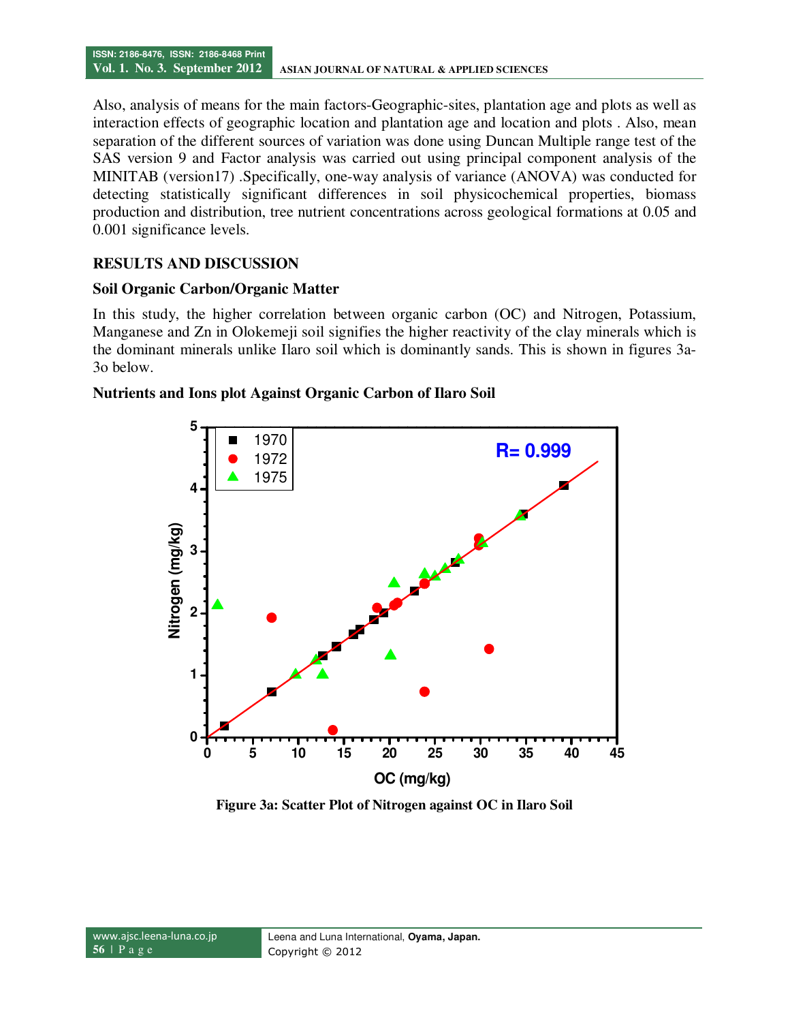Also, analysis of means for the main factors-Geographic-sites, plantation age and plots as well as interaction effects of geographic location and plantation age and location and plots . Also, mean separation of the different sources of variation was done using Duncan Multiple range test of the SAS version 9 and Factor analysis was carried out using principal component analysis of the MINITAB (version17) .Specifically, one-way analysis of variance (ANOVA) was conducted for detecting statistically significant differences in soil physicochemical properties, biomass production and distribution, tree nutrient concentrations across geological formations at 0.05 and 0.001 significance levels.

#### **RESULTS AND DISCUSSION**

#### **Soil Organic Carbon/Organic Matter**

In this study, the higher correlation between organic carbon (OC) and Nitrogen, Potassium, Manganese and Zn in Olokemeji soil signifies the higher reactivity of the clay minerals which is the dominant minerals unlike Ilaro soil which is dominantly sands. This is shown in figures 3a-3o below.



#### **Nutrients and Ions plot Against Organic Carbon of Ilaro Soil**

**Figure 3a: Scatter Plot of Nitrogen against OC in Ilaro Soil**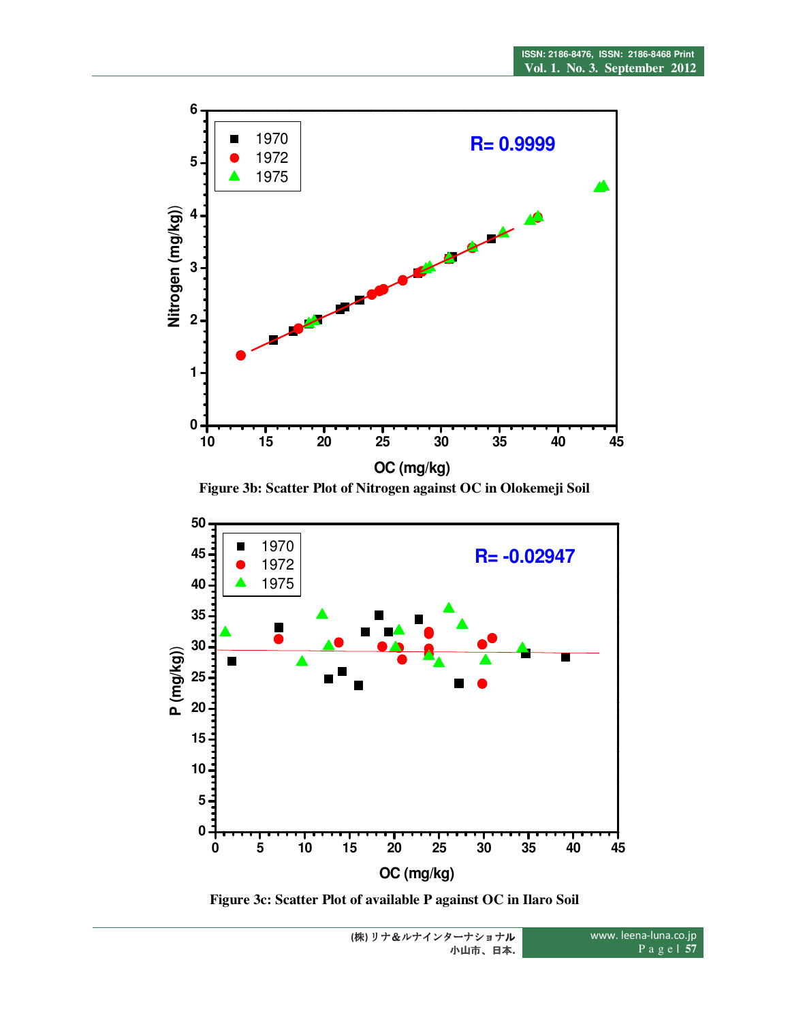

**Figure 3b: Scatter Plot of Nitrogen against OC in Olokemeji Soil** 



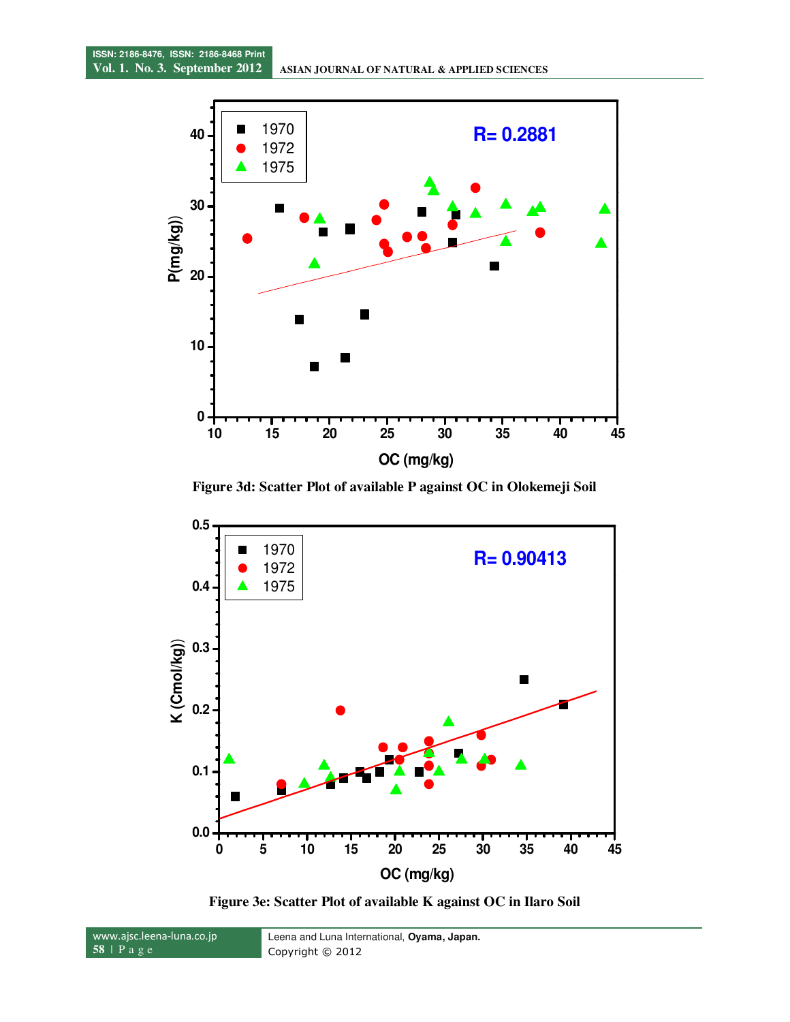

**Figure 3d: Scatter Plot of available P against OC in Olokemeji Soil** 



**Figure 3e: Scatter Plot of available K against OC in Ilaro Soil** 

```
www.ajsc.leena-luna.co.jp
58 | P a g e
```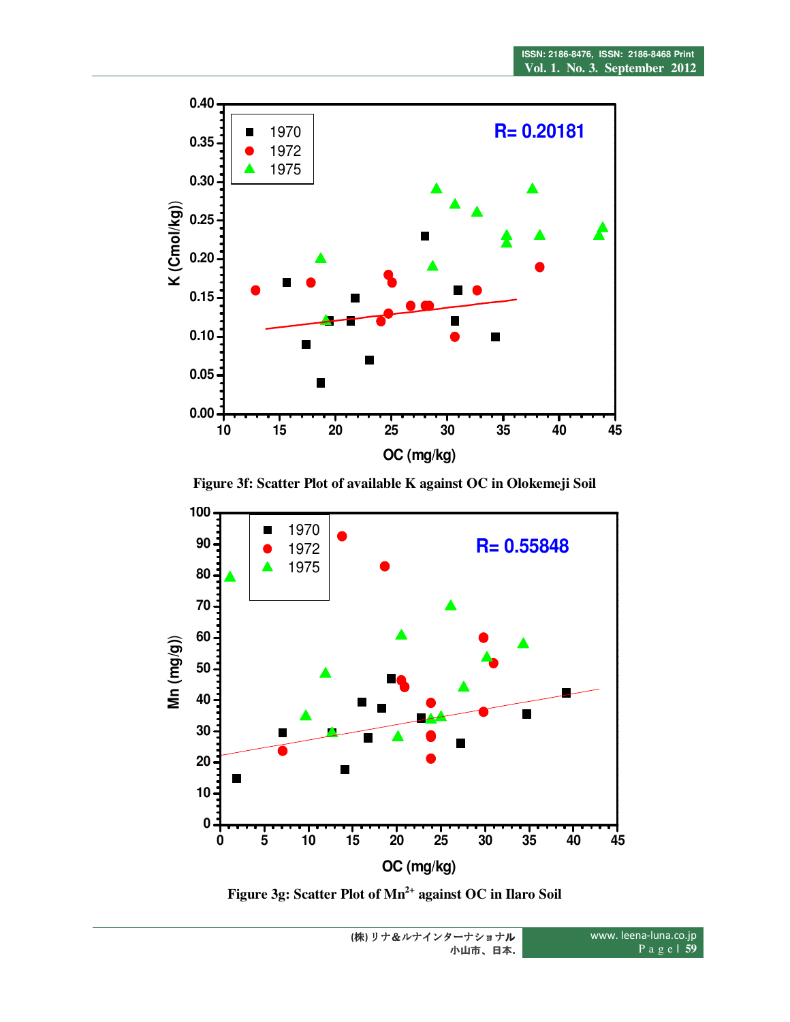

**Figure 3f: Scatter Plot of available K against OC in Olokemeji Soil** 



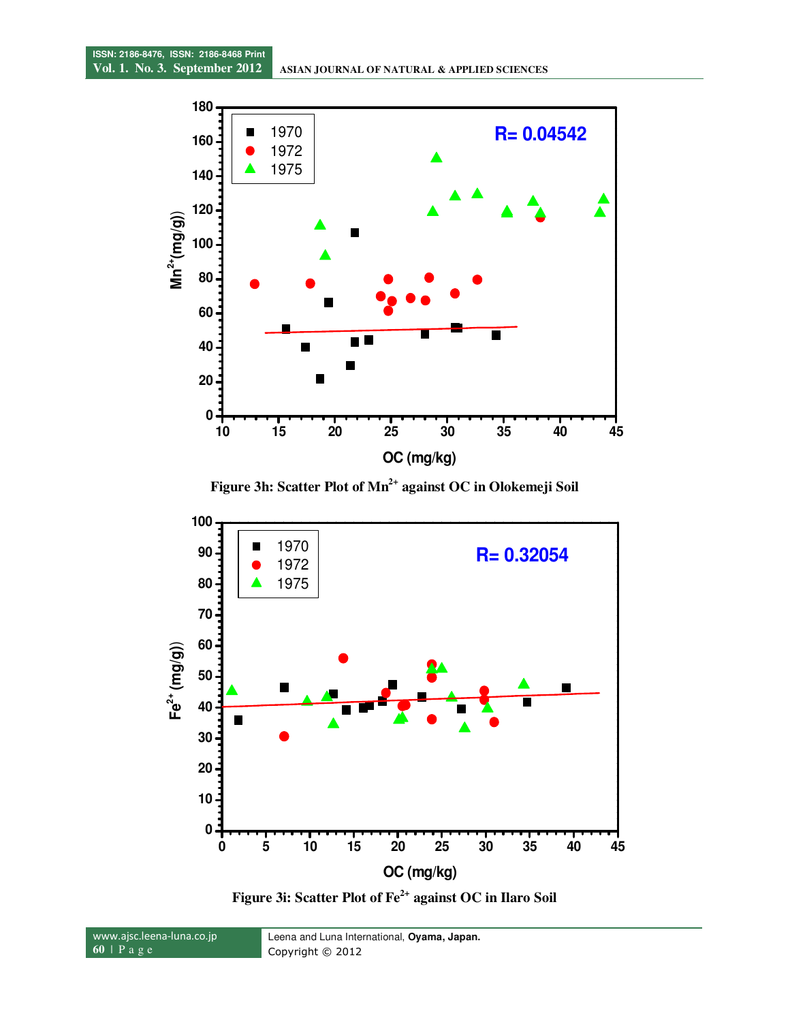

**Figure 3h: Scatter Plot of Mn2+ against OC in Olokemeji Soil** 



**Figure 3i: Scatter Plot of Fe2+ against OC in Ilaro Soil** 

www.ajsc.leena-luna.co.jp | P a g e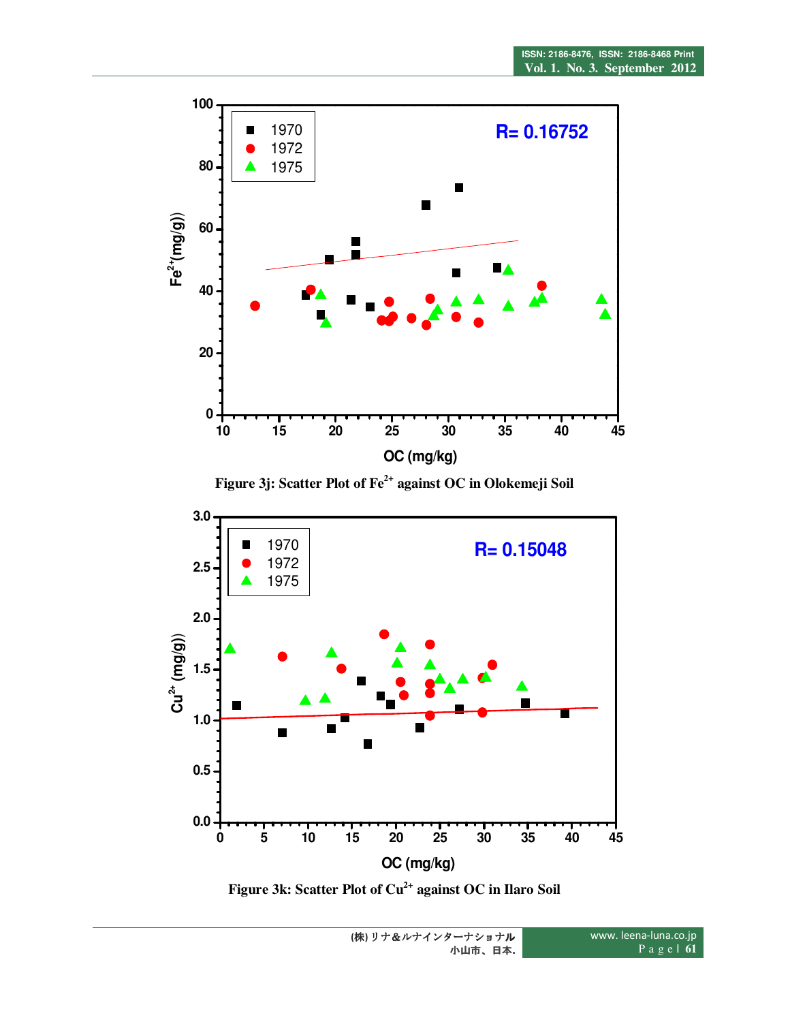

**Figure 3j: Scatter Plot of Fe2+ against OC in Olokemeji Soil** 



**Figure 3k: Scatter Plot of Cu2+ against OC in Ilaro Soil**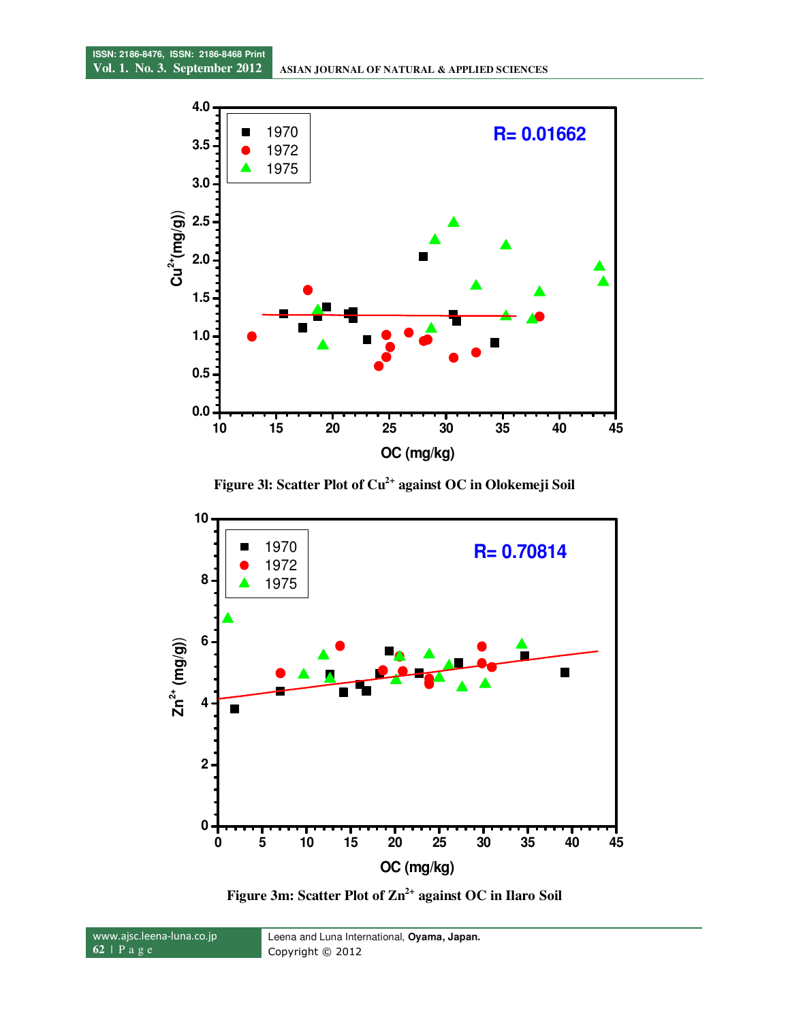

**Figure 3l: Scatter Plot of Cu2+ against OC in Olokemeji Soil** 



**Figure 3m: Scatter Plot of Zn2+ against OC in Ilaro Soil** 

www.ajsc.leena-luna.co.jp **62** | P a g e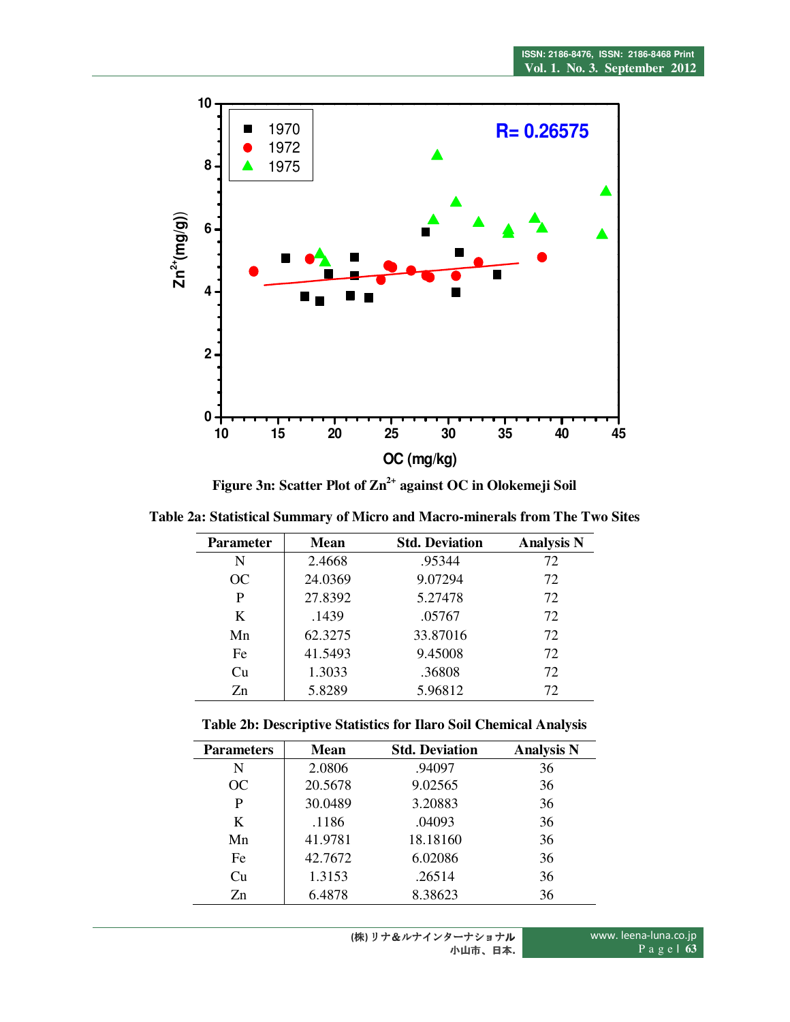

**Figure 3n: Scatter Plot of Zn2+ against OC in Olokemeji Soil** 

| <b>Parameter</b> | <b>Mean</b> | <b>Std. Deviation</b> | <b>Analysis N</b> |
|------------------|-------------|-----------------------|-------------------|
| N                | 2.4668      | .95344                | 72                |
| OC.              | 24.0369     | 9.07294               | 72                |
| P                | 27.8392     | 5.27478               | 72                |
| K                | .1439       | .05767                | 72                |
| Mn               | 62.3275     | 33.87016              | 72                |
| Fe               | 41.5493     | 9.45008               | 72                |
| Cu               | 1.3033      | .36808                | 72                |
| Zn               | 5.8289      | 5.96812               | 72                |

**Table 2a: Statistical Summary of Micro and Macro-minerals from The Two Sites** 

|  |  | Table 2b: Descriptive Statistics for Ilaro Soil Chemical Analysis |
|--|--|-------------------------------------------------------------------|
|--|--|-------------------------------------------------------------------|

| <b>Parameters</b> | <b>Mean</b> | <b>Std. Deviation</b> | <b>Analysis N</b> |
|-------------------|-------------|-----------------------|-------------------|
| N                 | 2.0806      | .94097                | 36                |
| <b>OC</b>         | 20.5678     | 9.02565               | 36                |
| P                 | 30.0489     | 3.20883               | 36                |
| K                 | .1186       | .04093                | 36                |
| Mn                | 41.9781     | 18.18160              | 36                |
| Fe                | 42.7672     | 6.02086               | 36                |
| Cu                | 1.3153      | .26514                | 36                |
| Zn                | 6.4878      | 8.38623               | 36                |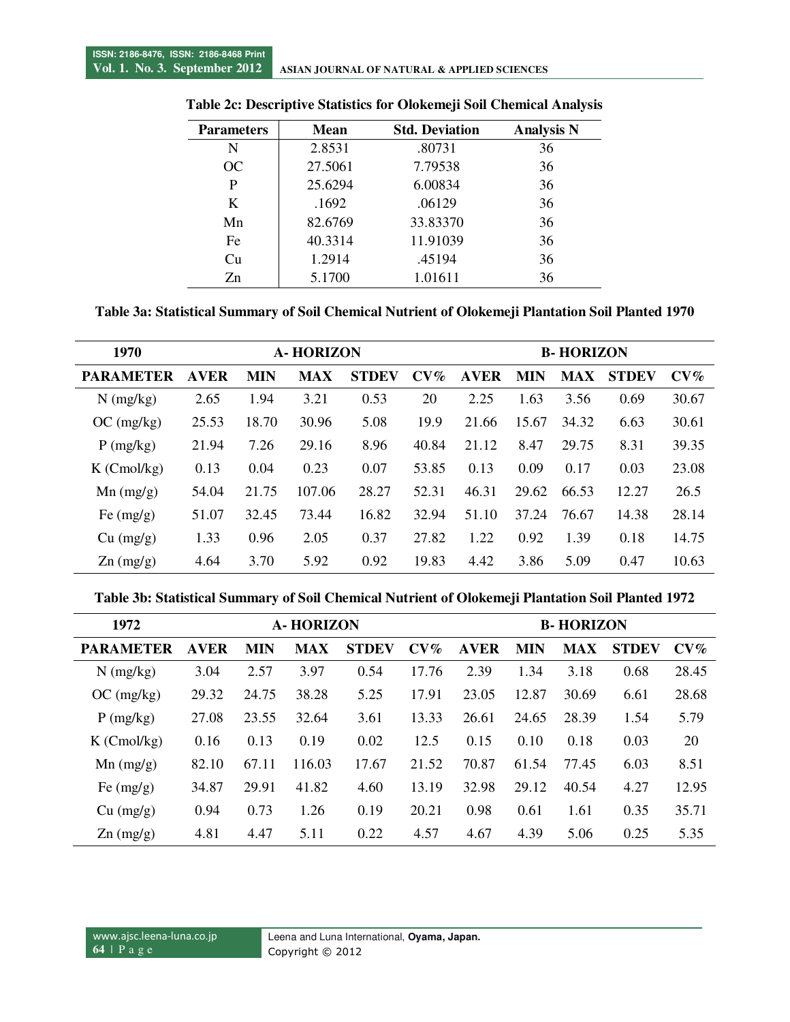| <b>Parameters</b> | <b>Mean</b> | <b>Std. Deviation</b> | <b>Analysis N</b> |
|-------------------|-------------|-----------------------|-------------------|
| N                 | 2.8531      | .80731                | 36                |
| OC                | 27.5061     | 7.79538               | 36                |
| P                 | 25.6294     | 6.00834               | 36                |
| K                 | .1692       | .06129                | 36                |
| Mn                | 82.6769     | 33.83370              | 36                |
| Fe                | 40.3314     | 11.91039              | 36                |
| Cu                | 1.2914      | .45194                | 36                |
| Zn                | 5.1700      | 1.01611               | 36                |

| Table 2c: Descriptive Statistics for Olokemeji Soil Chemical Analysis |  |  |
|-----------------------------------------------------------------------|--|--|
|                                                                       |  |  |

**Table 3a: Statistical Summary of Soil Chemical Nutrient of Olokemeji Plantation Soil Planted 1970** 

| 1970             | <b>A-HORIZON</b> |            |            |              |        | <b>B-HORIZON</b> |            |            |              |        |
|------------------|------------------|------------|------------|--------------|--------|------------------|------------|------------|--------------|--------|
| <b>PARAMETER</b> | <b>AVER</b>      | <b>MIN</b> | <b>MAX</b> | <b>STDEV</b> | $CV\%$ | <b>AVER</b>      | <b>MIN</b> | <b>MAX</b> | <b>STDEV</b> | $CV\%$ |
| $N$ (mg/kg)      | 2.65             | 1.94       | 3.21       | 0.53         | 20     | 2.25             | 1.63       | 3.56       | 0.69         | 30.67  |
| OC (mg/kg)       | 25.53            | 18.70      | 30.96      | 5.08         | 19.9   | 21.66            | 15.67      | 34.32      | 6.63         | 30.61  |
| $P$ (mg/kg)      | 21.94            | 7.26       | 29.16      | 8.96         | 40.84  | 21.12            | 8.47       | 29.75      | 8.31         | 39.35  |
| $K$ (Cmol/kg)    | 0.13             | 0.04       | 0.23       | 0.07         | 53.85  | 0.13             | 0.09       | 0.17       | 0.03         | 23.08  |
| $Mn$ (mg/g)      | 54.04            | 21.75      | 107.06     | 28.27        | 52.31  | 46.31            | 29.62      | 66.53      | 12.27        | 26.5   |
| Fe $(mg/g)$      | 51.07            | 32.45      | 73.44      | 16.82        | 32.94  | 51.10            | 37.24      | 76.67      | 14.38        | 28.14  |
| Cu (mg/g)        | 1.33             | 0.96       | 2.05       | 0.37         | 27.82  | 1.22             | 0.92       | 1.39       | 0.18         | 14.75  |
| $Zn$ (mg/g)      | 4.64             | 3.70       | 5.92       | 0.92         | 19.83  | 4.42             | 3.86       | 5.09       | 0.47         | 10.63  |

**Table 3b: Statistical Summary of Soil Chemical Nutrient of Olokemeji Plantation Soil Planted 1972** 

| 1972               |             | <b>A-HORIZON</b> |            |              |        |             | <b>B-HORIZON</b> |            |              |                 |
|--------------------|-------------|------------------|------------|--------------|--------|-------------|------------------|------------|--------------|-----------------|
| <b>PARAMETER</b>   | <b>AVER</b> | <b>MIN</b>       | <b>MAX</b> | <b>STDEV</b> | $CV\%$ | <b>AVER</b> | <b>MIN</b>       | <b>MAX</b> | <b>STDEV</b> | $\mathbf{CV}\%$ |
| $N$ (mg/kg)        | 3.04        | 2.57             | 3.97       | 0.54         | 17.76  | 2.39        | 1.34             | 3.18       | 0.68         | 28.45           |
| OC (mg/kg)         | 29.32       | 24.75            | 38.28      | 5.25         | 17.91  | 23.05       | 12.87            | 30.69      | 6.61         | 28.68           |
| $P$ (mg/kg)        | 27.08       | 23.55            | 32.64      | 3.61         | 13.33  | 26.61       | 24.65            | 28.39      | 1.54         | 5.79            |
| $K$ (Cmol/kg)      | 0.16        | 0.13             | 0.19       | 0.02         | 12.5   | 0.15        | 0.10             | 0.18       | 0.03         | 20              |
| $Mn$ (mg/g)        | 82.10       | 67.11            | 116.03     | 17.67        | 21.52  | 70.87       | 61.54            | 77.45      | 6.03         | 8.51            |
| Fe $(mg/g)$        | 34.87       | 29.91            | 41.82      | 4.60         | 13.19  | 32.98       | 29.12            | 40.54      | 4.27         | 12.95           |
| Cu (mg/g)          | 0.94        | 0.73             | 1.26       | 0.19         | 20.21  | 0.98        | 0.61             | 1.61       | 0.35         | 35.71           |
| $\text{Zn}$ (mg/g) | 4.81        | 4.47             | 5.11       | 0.22         | 4.57   | 4.67        | 4.39             | 5.06       | 0.25         | 5.35            |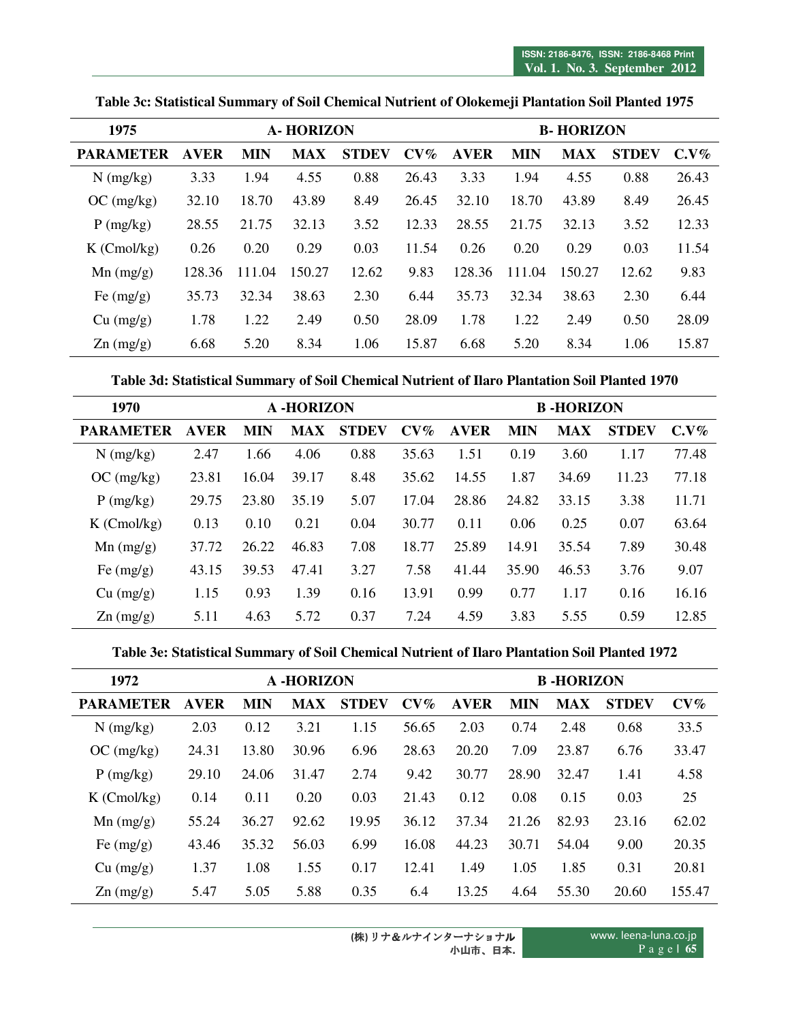| 1975               | <b>A-HORIZON</b><br><b>B-HORIZON</b> |            |            |              |        |             |            |            |              |         |
|--------------------|--------------------------------------|------------|------------|--------------|--------|-------------|------------|------------|--------------|---------|
| <b>PARAMETER</b>   | <b>AVER</b>                          | <b>MIN</b> | <b>MAX</b> | <b>STDEV</b> | $CV\%$ | <b>AVER</b> | <b>MIN</b> | <b>MAX</b> | <b>STDEV</b> | $C.V\%$ |
| $N$ (mg/kg)        | 3.33                                 | 1.94       | 4.55       | 0.88         | 26.43  | 3.33        | 1.94       | 4.55       | 0.88         | 26.43   |
| OC (mg/kg)         | 32.10                                | 18.70      | 43.89      | 8.49         | 26.45  | 32.10       | 18.70      | 43.89      | 8.49         | 26.45   |
| $P$ (mg/kg)        | 28.55                                | 21.75      | 32.13      | 3.52         | 12.33  | 28.55       | 21.75      | 32.13      | 3.52         | 12.33   |
| $K$ (Cmol/kg)      | 0.26                                 | 0.20       | 0.29       | 0.03         | 11.54  | 0.26        | 0.20       | 0.29       | 0.03         | 11.54   |
| $Mn$ (mg/g)        | 128.36                               | 111.04     | 150.27     | 12.62        | 9.83   | 128.36      | 111.04     | 150.27     | 12.62        | 9.83    |
| Fe $(mg/g)$        | 35.73                                | 32.34      | 38.63      | 2.30         | 6.44   | 35.73       | 32.34      | 38.63      | 2.30         | 6.44    |
| Cu (mg/g)          | 1.78                                 | 1.22       | 2.49       | 0.50         | 28.09  | 1.78        | 1.22       | 2.49       | 0.50         | 28.09   |
| $\text{Zn}$ (mg/g) | 6.68                                 | 5.20       | 8.34       | 1.06         | 15.87  | 6.68        | 5.20       | 8.34       | 1.06         | 15.87   |

**Table 3c: Statistical Summary of Soil Chemical Nutrient of Olokemeji Plantation Soil Planted 1975** 

**Table 3d: Statistical Summary of Soil Chemical Nutrient of Ilaro Plantation Soil Planted 1970** 

| 1970                                   | <b>A-HORIZON</b> |            |            |              |        | <b>B-HORIZON</b> |            |       |              |         |
|----------------------------------------|------------------|------------|------------|--------------|--------|------------------|------------|-------|--------------|---------|
| <b>PARAMETER</b>                       | <b>AVER</b>      | <b>MIN</b> | <b>MAX</b> | <b>STDEV</b> | $CV\%$ | <b>AVER</b>      | <b>MIN</b> | MAX   | <b>STDEV</b> | $C.V\%$ |
| $N$ (mg/kg)                            | 2.47             | 1.66       | 4.06       | 0.88         | 35.63  | 1.51             | 0.19       | 3.60  | 1.17         | 77.48   |
| OC (mg/kg)                             | 23.81            | 16.04      | 39.17      | 8.48         | 35.62  | 14.55            | 1.87       | 34.69 | 11.23        | 77.18   |
| $P$ (mg/kg)                            | 29.75            | 23.80      | 35.19      | 5.07         | 17.04  | 28.86            | 24.82      | 33.15 | 3.38         | 11.71   |
| $K$ (Cmol/kg)                          | 0.13             | 0.10       | 0.21       | 0.04         | 30.77  | 0.11             | 0.06       | 0.25  | 0.07         | 63.64   |
| $Mn$ (mg/g)                            | 37.72            | 26.22      | 46.83      | 7.08         | 18.77  | 25.89            | 14.91      | 35.54 | 7.89         | 30.48   |
| Fe $(mg/g)$                            | 43.15            | 39.53      | 47.41      | 3.27         | 7.58   | 41.44            | 35.90      | 46.53 | 3.76         | 9.07    |
| Cu (mg/g)                              | 1.15             | 0.93       | 1.39       | 0.16         | 13.91  | 0.99             | 0.77       | 1.17  | 0.16         | 16.16   |
| $\text{Zn} \left( \text{mg/g} \right)$ | 5.11             | 4.63       | 5.72       | 0.37         | 7.24   | 4.59             | 3.83       | 5.55  | 0.59         | 12.85   |

**Table 3e: Statistical Summary of Soil Chemical Nutrient of Ilaro Plantation Soil Planted 1972** 

| 1972               | <b>A-HORIZON</b> |            |            |              | <b>B-HORIZON</b> |             |            |            |              |        |
|--------------------|------------------|------------|------------|--------------|------------------|-------------|------------|------------|--------------|--------|
| <b>PARAMETER</b>   | <b>AVER</b>      | <b>MIN</b> | <b>MAX</b> | <b>STDEV</b> | $CV\%$           | <b>AVER</b> | <b>MIN</b> | <b>MAX</b> | <b>STDEV</b> | $CV\%$ |
| $N$ (mg/kg)        | 2.03             | 0.12       | 3.21       | 1.15         | 56.65            | 2.03        | 0.74       | 2.48       | 0.68         | 33.5   |
| OC (mg/kg)         | 24.31            | 13.80      | 30.96      | 6.96         | 28.63            | 20.20       | 7.09       | 23.87      | 6.76         | 33.47  |
| $P$ (mg/kg)        | 29.10            | 24.06      | 31.47      | 2.74         | 9.42             | 30.77       | 28.90      | 32.47      | 1.41         | 4.58   |
| $K$ (Cmol/kg)      | 0.14             | 0.11       | 0.20       | 0.03         | 21.43            | 0.12        | 0.08       | 0.15       | 0.03         | 25     |
| $Mn$ (mg/g)        | 55.24            | 36.27      | 92.62      | 19.95        | 36.12            | 37.34       | 21.26      | 82.93      | 23.16        | 62.02  |
| Fe $(mg/g)$        | 43.46            | 35.32      | 56.03      | 6.99         | 16.08            | 44.23       | 30.71      | 54.04      | 9.00         | 20.35  |
| Cu (mg/g)          | 1.37             | 1.08       | 1.55       | 0.17         | 12.41            | 1.49        | 1.05       | 1.85       | 0.31         | 20.81  |
| $\text{Zn}$ (mg/g) | 5.47             | 5.05       | 5.88       | 0.35         | 6.4              | 13.25       | 4.64       | 55.30      | 20.60        | 155.47 |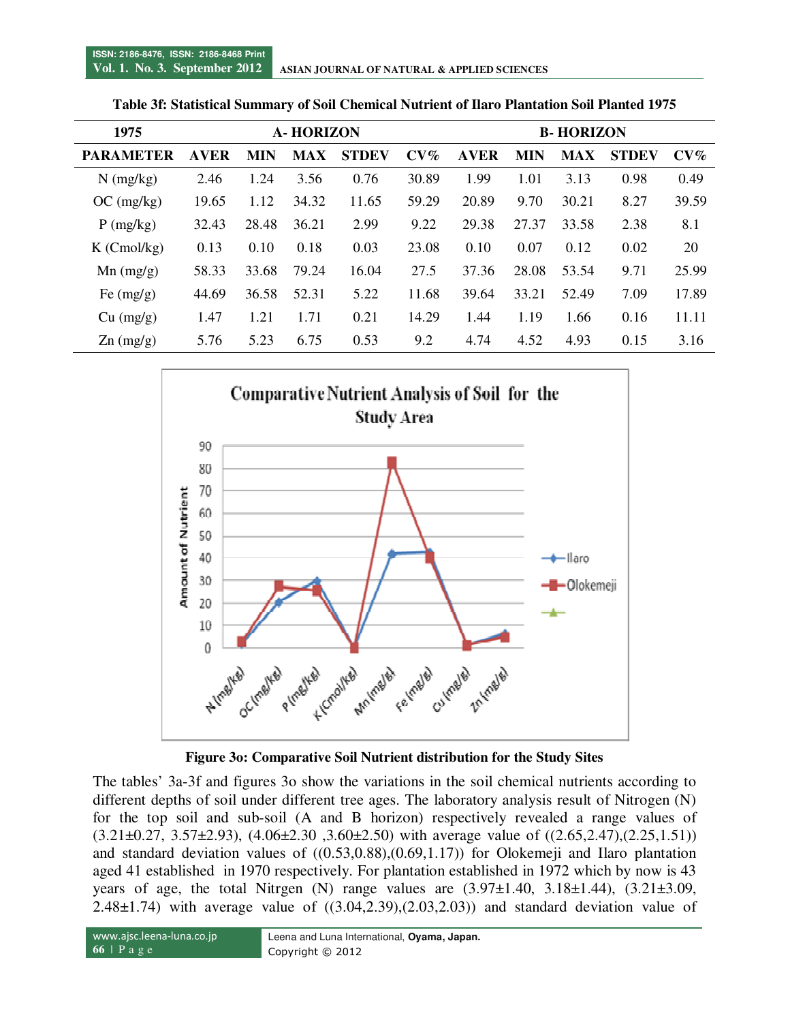| 1975                                   | <b>A-HORIZON</b> |            |            |              | <b>B-HORIZON</b> |             |            |            |              |        |
|----------------------------------------|------------------|------------|------------|--------------|------------------|-------------|------------|------------|--------------|--------|
| <b>PARAMETER</b>                       | <b>AVER</b>      | <b>MIN</b> | <b>MAX</b> | <b>STDEV</b> | $CV\%$           | <b>AVER</b> | <b>MIN</b> | <b>MAX</b> | <b>STDEV</b> | $CV\%$ |
| $N$ (mg/kg)                            | 2.46             | 1.24       | 3.56       | 0.76         | 30.89            | 1.99        | 1.01       | 3.13       | 0.98         | 0.49   |
| OC (mg/kg)                             | 19.65            | 1.12       | 34.32      | 11.65        | 59.29            | 20.89       | 9.70       | 30.21      | 8.27         | 39.59  |
| $P$ (mg/kg)                            | 32.43            | 28.48      | 36.21      | 2.99         | 9.22             | 29.38       | 27.37      | 33.58      | 2.38         | 8.1    |
| $K$ (Cmol/kg)                          | 0.13             | 0.10       | 0.18       | 0.03         | 23.08            | 0.10        | 0.07       | 0.12       | 0.02         | 20     |
| $Mn$ (mg/g)                            | 58.33            | 33.68      | 79.24      | 16.04        | 27.5             | 37.36       | 28.08      | 53.54      | 9.71         | 25.99  |
| Fe $(mg/g)$                            | 44.69            | 36.58      | 52.31      | 5.22         | 11.68            | 39.64       | 33.21      | 52.49      | 7.09         | 17.89  |
| Cu (mg/g)                              | 1.47             | 1.21       | 1.71       | 0.21         | 14.29            | 1.44        | 1.19       | 1.66       | 0.16         | 11.11  |
| $\text{Zn} \left( \text{mg/g} \right)$ | 5.76             | 5.23       | 6.75       | 0.53         | 9.2              | 4.74        | 4.52       | 4.93       | 0.15         | 3.16   |

|  |  | Table 3f: Statistical Summary of Soil Chemical Nutrient of Ilaro Plantation Soil Planted 1975 |
|--|--|-----------------------------------------------------------------------------------------------|
|--|--|-----------------------------------------------------------------------------------------------|



**Figure 3o: Comparative Soil Nutrient distribution for the Study Sites**

The tables' 3a-3f and figures 3o show the variations in the soil chemical nutrients according to different depths of soil under different tree ages. The laboratory analysis result of Nitrogen (N) for the top soil and sub-soil (A and B horizon) respectively revealed a range values of  $(3.21\pm0.27, 3.57\pm2.93), (4.06\pm2.30, 3.60\pm2.50)$  with average value of  $((2.65, 2.47), (2.25, 1.51))$ and standard deviation values of  $((0.53,0.88),(0.69,1.17))$  for Olokemeji and Ilaro plantation aged 41 established in 1970 respectively. For plantation established in 1972 which by now is 43 years of age, the total Nitrgen (N) range values are  $(3.97\pm1.40, 3.18\pm1.44)$ ,  $(3.21\pm3.09, 1.42)$ 2.48 $\pm$ 1.74) with average value of  $((3.04, 2.39), (2.03, 2.03))$  and standard deviation value of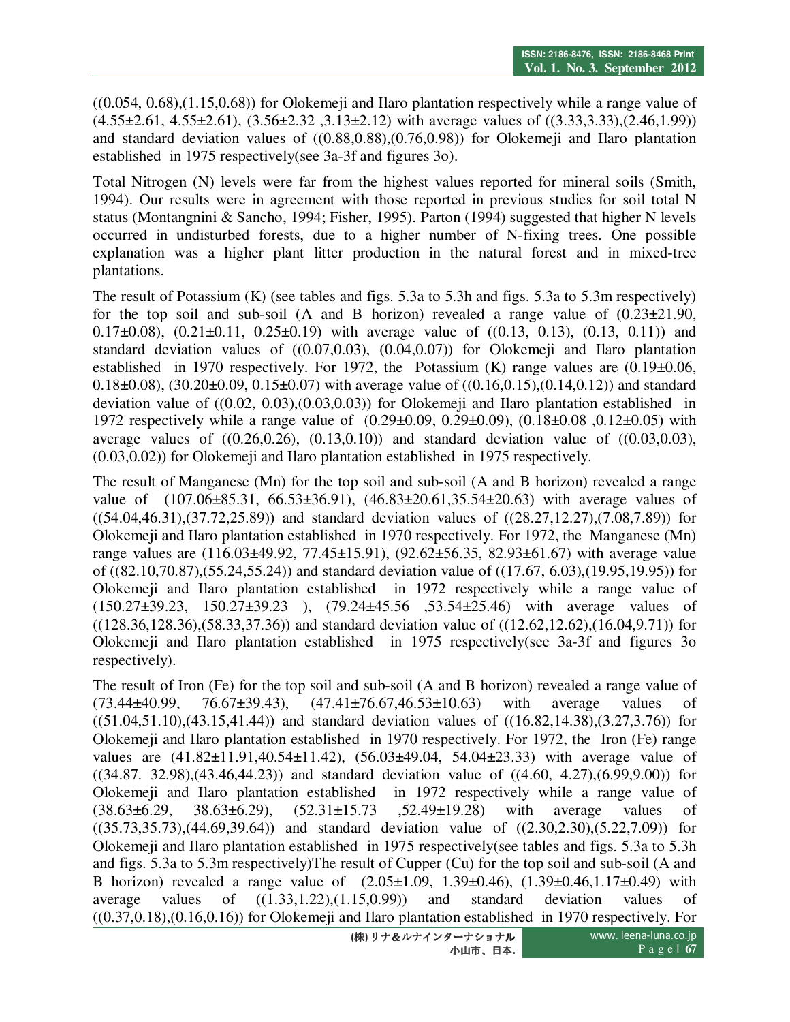$((0.054, 0.68), (1.15, 0.68))$  for Olokemeji and Ilaro plantation respectively while a range value of  $(4.55\pm2.61, 4.55\pm2.61), (3.56\pm2.32, 3.13\pm2.12)$  with average values of  $((3.33,3.33),(2.46,1.99))$ and standard deviation values of ((0.88,0.88),(0.76,0.98)) for Olokemeji and Ilaro plantation established in 1975 respectively(see 3a-3f and figures 3o).

Total Nitrogen (N) levels were far from the highest values reported for mineral soils (Smith, 1994). Our results were in agreement with those reported in previous studies for soil total N status (Montangnini & Sancho, 1994; Fisher, 1995). Parton (1994) suggested that higher N levels occurred in undisturbed forests, due to a higher number of N-fixing trees. One possible explanation was a higher plant litter production in the natural forest and in mixed-tree plantations.

The result of Potassium (K) (see tables and figs. 5.3a to 5.3h and figs. 5.3a to 5.3m respectively) for the top soil and sub-soil (A and B horizon) revealed a range value of  $(0.23 \pm 21.90,$ 0.17 $\pm$ 0.08), (0.21 $\pm$ 0.11, 0.25 $\pm$ 0.19) with average value of ((0.13, 0.13), (0.13, 0.11)) and standard deviation values of  $((0.07,0.03), (0.04,0.07))$  for Olokemeji and Ilaro plantation established in 1970 respectively. For 1972, the Potassium (K) range values are (0.19±0.06, 0.18 $\pm$ 0.08), (30.20 $\pm$ 0.09, 0.15 $\pm$ 0.07) with average value of ((0.16,0.15),(0.14,0.12)) and standard deviation value of ((0.02, 0.03),(0.03,0.03)) for Olokemeji and Ilaro plantation established in 1972 respectively while a range value of (0.29±0.09, 0.29±0.09), (0.18±0.08 ,0.12±0.05) with average values of  $((0.26, 0.26), (0.13, 0.10))$  and standard deviation value of  $((0.03, 0.03),$ (0.03,0.02)) for Olokemeji and Ilaro plantation established in 1975 respectively.

The result of Manganese (Mn) for the top soil and sub-soil (A and B horizon) revealed a range value of (107.06 $\pm$ 85.31, 66.53 $\pm$ 36.91), (46.83 $\pm$ 20.61,35.54 $\pm$ 20.63) with average values of ((54.04,46.31),(37.72,25.89)) and standard deviation values of ((28.27,12.27),(7.08,7.89)) for Olokemeji and Ilaro plantation established in 1970 respectively. For 1972, the Manganese (Mn) range values are (116.03±49.92, 77.45±15.91), (92.62±56.35, 82.93±61.67) with average value of ((82.10,70.87),(55.24,55.24)) and standard deviation value of ((17.67, 6.03),(19.95,19.95)) for Olokemeji and Ilaro plantation established in 1972 respectively while a range value of (150.27±39.23, 150.27±39.23 ), (79.24±45.56 ,53.54±25.46) with average values of ((128.36,128.36),(58.33,37.36)) and standard deviation value of ((12.62,12.62),(16.04,9.71)) for Olokemeji and Ilaro plantation established in 1975 respectively(see 3a-3f and figures 3o respectively).

The result of Iron (Fe) for the top soil and sub-soil (A and B horizon) revealed a range value of (73.44±40.99, 76.67±39.43), (47.41±76.67,46.53±10.63) with average values of  $((51.04,51.10),(43.15,41.44))$  and standard deviation values of  $((16.82,14.38),(3.27,3.76))$  for Olokemeji and Ilaro plantation established in 1970 respectively. For 1972, the Iron (Fe) range values are (41.82±11.91,40.54±11.42), (56.03±49.04, 54.04±23.33) with average value of  $((34.87. 32.98), (43.46, 44.23))$  and standard deviation value of  $((4.60, 4.27), (6.99, 9.00))$  for Olokemeji and Ilaro plantation established in 1972 respectively while a range value of (38.63±6.29, 38.63±6.29), (52.31±15.73 ,52.49±19.28) with average values of ((35.73,35.73),(44.69,39.64)) and standard deviation value of ((2.30,2.30),(5.22,7.09)) for Olokemeji and Ilaro plantation established in 1975 respectively(see tables and figs. 5.3a to 5.3h and figs. 5.3a to 5.3m respectively)The result of Cupper (Cu) for the top soil and sub-soil (A and B horizon) revealed a range value of (2.05±1.09, 1.39±0.46), (1.39±0.46,1.17±0.49) with average values of  $((1.33,1.22),(1.15,0.99))$  and standard deviation values of ((0.37,0.18),(0.16,0.16)) for Olokemeji and Ilaro plantation established in 1970 respectively. For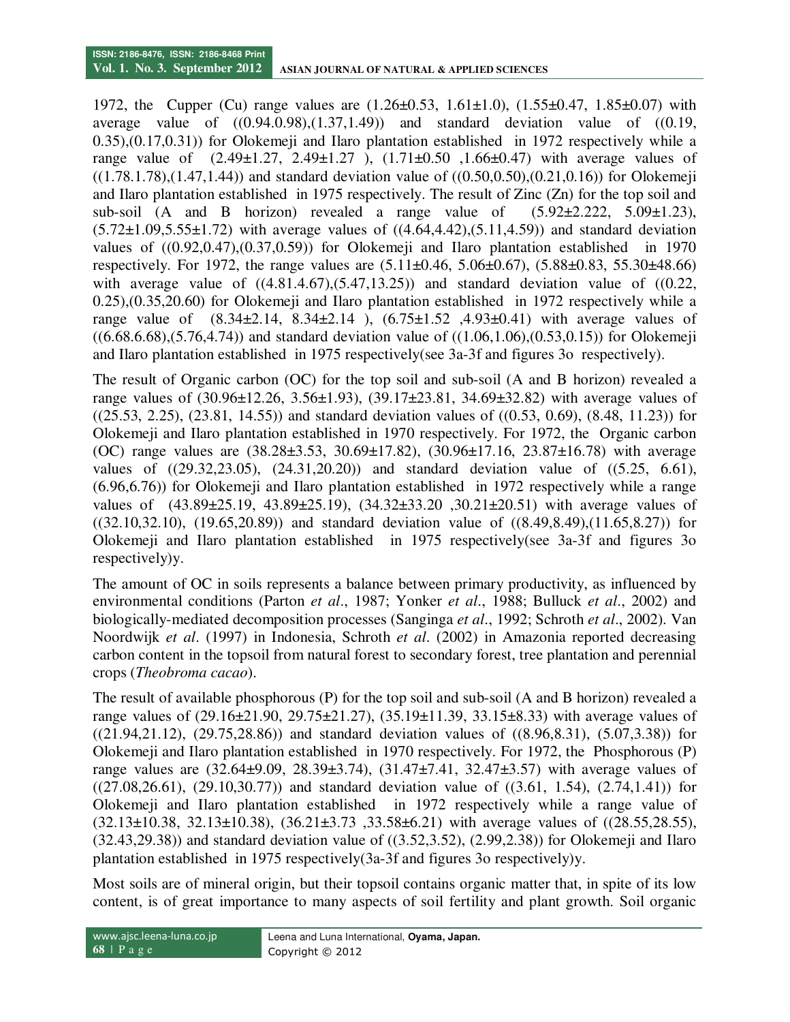1972, the Cupper (Cu) range values are (1.26±0.53, 1.61±1.0), (1.55±0.47, 1.85±0.07) with average value of  $((0.94.0.98),(1.37,1.49))$  and standard deviation value of  $((0.19, 1.1.49))$ 0.35),(0.17,0.31)) for Olokemeji and Ilaro plantation established in 1972 respectively while a range value of  $(2.49 \pm 1.27, 2.49 \pm 1.27)$ ,  $(1.71 \pm 0.50, 1.66 \pm 0.47)$  with average values of  $((1.78.1.78),(1.47,1.44))$  and standard deviation value of  $((0.50,0.50),(0.21,0.16))$  for Olokemeji and Ilaro plantation established in 1975 respectively. The result of Zinc (Zn) for the top soil and sub-soil (A and B horizon) revealed a range value of  $(5.92 \pm 2.222, 5.09 \pm 1.23)$ ,  $(5.72\pm1.09, 5.55\pm1.72)$  with average values of  $((4.64, 4.42), (5.11, 4.59))$  and standard deviation values of ((0.92,0.47),(0.37,0.59)) for Olokemeji and Ilaro plantation established in 1970 respectively. For 1972, the range values are  $(5.11\pm0.46, 5.06\pm0.67)$ ,  $(5.88\pm0.83, 55.30\pm48.66)$ with average value of  $((4.81.4.67),(5.47,13.25))$  and standard deviation value of  $((0.22,$ 0.25),(0.35,20.60) for Olokemeji and Ilaro plantation established in 1972 respectively while a range value of  $(8.34\pm 2.14, 8.34\pm 2.14)$ ,  $(6.75\pm 1.52, 4.93\pm 0.41)$  with average values of  $((6.68.6.68), (5.76, 4.74))$  and standard deviation value of  $((1.06, 1.06), (0.53, 0.15))$  for Olokemeji and Ilaro plantation established in 1975 respectively(see 3a-3f and figures 3o respectively).

The result of Organic carbon (OC) for the top soil and sub-soil (A and B horizon) revealed a range values of (30.96±12.26, 3.56±1.93), (39.17±23.81, 34.69±32.82) with average values of  $((25.53, 2.25), (23.81, 14.55))$  and standard deviation values of  $((0.53, 0.69), (8.48, 11.23))$  for Olokemeji and Ilaro plantation established in 1970 respectively. For 1972, the Organic carbon (OC) range values are (38.28±3.53, 30.69±17.82), (30.96±17.16, 23.87±16.78) with average values of ((29.32,23.05), (24.31,20.20)) and standard deviation value of ((5.25, 6.61), (6.96,6.76)) for Olokemeji and Ilaro plantation established in 1972 respectively while a range values of (43.89±25.19, 43.89±25.19), (34.32±33.20 ,30.21±20.51) with average values of  $((32.10,32.10), (19.65,20.89))$  and standard deviation value of  $((8.49,8.49),(11.65,8.27))$  for Olokemeji and Ilaro plantation established in 1975 respectively(see 3a-3f and figures 3o respectively)y.

The amount of OC in soils represents a balance between primary productivity, as influenced by environmental conditions (Parton *et al*., 1987; Yonker *et al*., 1988; Bulluck *et al*., 2002) and biologically-mediated decomposition processes (Sanginga *et al*., 1992; Schroth *et al*., 2002). Van Noordwijk *et al*. (1997) in Indonesia, Schroth *et al*. (2002) in Amazonia reported decreasing carbon content in the topsoil from natural forest to secondary forest, tree plantation and perennial crops (*Theobroma cacao*).

The result of available phosphorous (P) for the top soil and sub-soil (A and B horizon) revealed a range values of (29.16±21.90, 29.75±21.27), (35.19±11.39, 33.15±8.33) with average values of ((21.94,21.12), (29.75,28.86)) and standard deviation values of ((8.96,8.31), (5.07,3.38)) for Olokemeji and Ilaro plantation established in 1970 respectively. For 1972, the Phosphorous (P) range values are (32.64±9.09, 28.39±3.74), (31.47±7.41, 32.47±3.57) with average values of  $((27.08,26.61), (29.10,30.77))$  and standard deviation value of  $((3.61, 1.54), (2.74,1.41))$  for Olokemeji and Ilaro plantation established in 1972 respectively while a range value of (32.13±10.38, 32.13±10.38), (36.21±3.73 ,33.58±6.21) with average values of ((28.55,28.55), (32.43,29.38)) and standard deviation value of ((3.52,3.52), (2.99,2.38)) for Olokemeji and Ilaro plantation established in 1975 respectively(3a-3f and figures 3o respectively)y.

Most soils are of mineral origin, but their topsoil contains organic matter that, in spite of its low content, is of great importance to many aspects of soil fertility and plant growth. Soil organic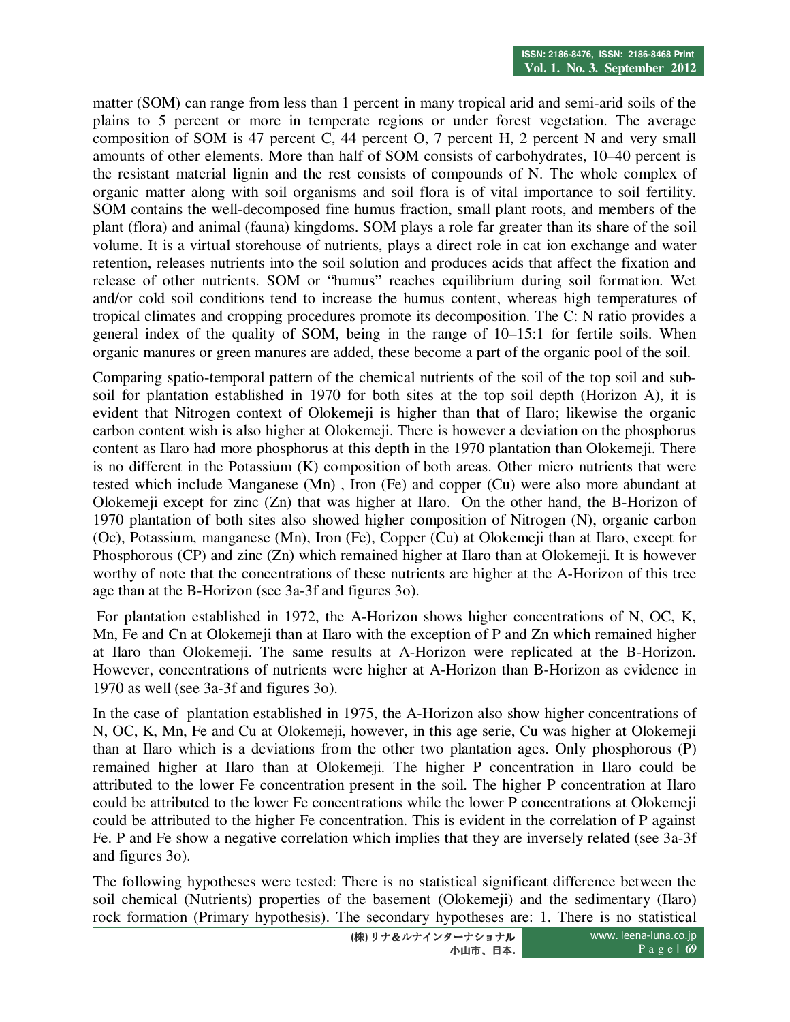matter (SOM) can range from less than 1 percent in many tropical arid and semi-arid soils of the plains to 5 percent or more in temperate regions or under forest vegetation. The average composition of SOM is 47 percent C, 44 percent O, 7 percent H, 2 percent N and very small amounts of other elements. More than half of SOM consists of carbohydrates, 10–40 percent is the resistant material lignin and the rest consists of compounds of N. The whole complex of organic matter along with soil organisms and soil flora is of vital importance to soil fertility. SOM contains the well-decomposed fine humus fraction, small plant roots, and members of the plant (flora) and animal (fauna) kingdoms. SOM plays a role far greater than its share of the soil volume. It is a virtual storehouse of nutrients, plays a direct role in cat ion exchange and water retention, releases nutrients into the soil solution and produces acids that affect the fixation and release of other nutrients. SOM or "humus" reaches equilibrium during soil formation. Wet and/or cold soil conditions tend to increase the humus content, whereas high temperatures of tropical climates and cropping procedures promote its decomposition. The C: N ratio provides a general index of the quality of SOM, being in the range of 10–15:1 for fertile soils. When organic manures or green manures are added, these become a part of the organic pool of the soil.

Comparing spatio-temporal pattern of the chemical nutrients of the soil of the top soil and subsoil for plantation established in 1970 for both sites at the top soil depth (Horizon A), it is evident that Nitrogen context of Olokemeji is higher than that of Ilaro; likewise the organic carbon content wish is also higher at Olokemeji. There is however a deviation on the phosphorus content as Ilaro had more phosphorus at this depth in the 1970 plantation than Olokemeji. There is no different in the Potassium (K) composition of both areas. Other micro nutrients that were tested which include Manganese (Mn) , Iron (Fe) and copper (Cu) were also more abundant at Olokemeji except for zinc (Zn) that was higher at Ilaro. On the other hand, the B-Horizon of 1970 plantation of both sites also showed higher composition of Nitrogen (N), organic carbon (Oc), Potassium, manganese (Mn), Iron (Fe), Copper (Cu) at Olokemeji than at Ilaro, except for Phosphorous (CP) and zinc (Zn) which remained higher at Ilaro than at Olokemeji. It is however worthy of note that the concentrations of these nutrients are higher at the A-Horizon of this tree age than at the B-Horizon (see 3a-3f and figures 3o).

 For plantation established in 1972, the A-Horizon shows higher concentrations of N, OC, K, Mn, Fe and Cn at Olokemeji than at Ilaro with the exception of P and Zn which remained higher at Ilaro than Olokemeji. The same results at A-Horizon were replicated at the B-Horizon. However, concentrations of nutrients were higher at A-Horizon than B-Horizon as evidence in 1970 as well (see 3a-3f and figures 3o).

In the case of plantation established in 1975, the A-Horizon also show higher concentrations of N, OC, K, Mn, Fe and Cu at Olokemeji, however, in this age serie, Cu was higher at Olokemeji than at Ilaro which is a deviations from the other two plantation ages. Only phosphorous (P) remained higher at Ilaro than at Olokemeji. The higher P concentration in Ilaro could be attributed to the lower Fe concentration present in the soil. The higher P concentration at Ilaro could be attributed to the lower Fe concentrations while the lower P concentrations at Olokemeji could be attributed to the higher Fe concentration. This is evident in the correlation of P against Fe. P and Fe show a negative correlation which implies that they are inversely related (see 3a-3f and figures 3o).

The following hypotheses were tested: There is no statistical significant difference between the soil chemical (Nutrients) properties of the basement (Olokemeji) and the sedimentary (Ilaro) rock formation (Primary hypothesis). The secondary hypotheses are: 1. There is no statistical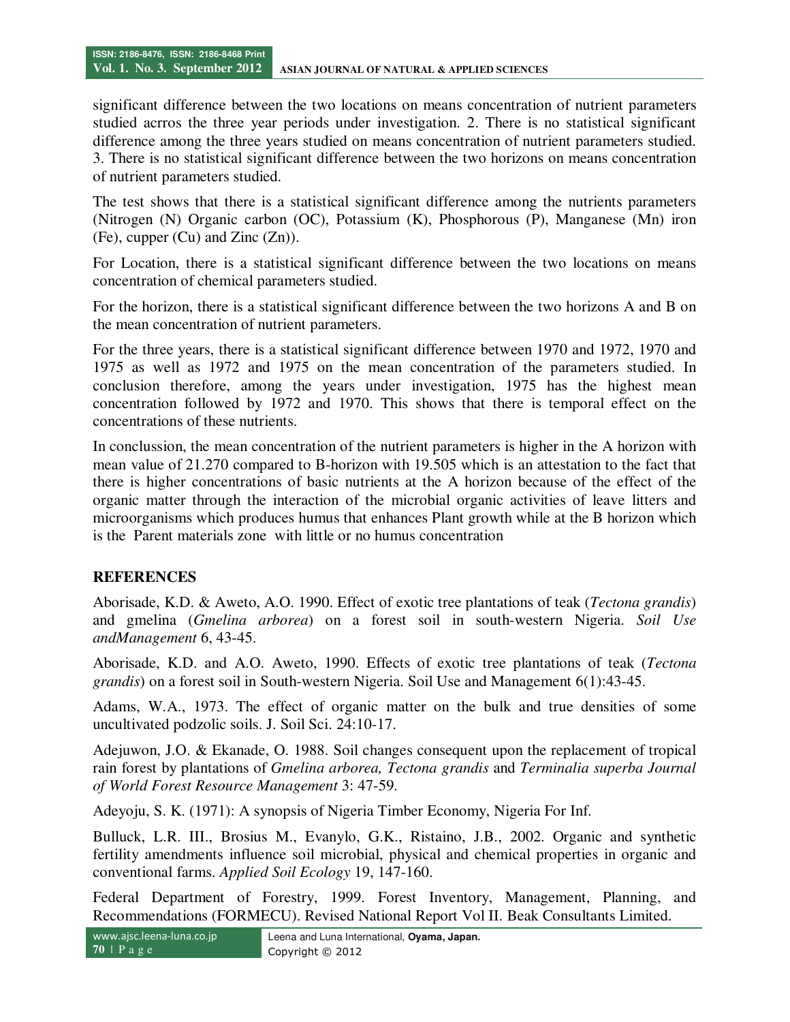significant difference between the two locations on means concentration of nutrient parameters studied acrros the three year periods under investigation. 2. There is no statistical significant difference among the three years studied on means concentration of nutrient parameters studied. 3. There is no statistical significant difference between the two horizons on means concentration of nutrient parameters studied.

The test shows that there is a statistical significant difference among the nutrients parameters (Nitrogen (N) Organic carbon (OC), Potassium (K), Phosphorous (P), Manganese (Mn) iron (Fe), cupper (Cu) and Zinc (Zn)).

For Location, there is a statistical significant difference between the two locations on means concentration of chemical parameters studied.

For the horizon, there is a statistical significant difference between the two horizons A and B on the mean concentration of nutrient parameters.

For the three years, there is a statistical significant difference between 1970 and 1972, 1970 and 1975 as well as 1972 and 1975 on the mean concentration of the parameters studied. In conclusion therefore, among the years under investigation, 1975 has the highest mean concentration followed by 1972 and 1970. This shows that there is temporal effect on the concentrations of these nutrients.

In conclussion, the mean concentration of the nutrient parameters is higher in the A horizon with mean value of 21.270 compared to B-horizon with 19.505 which is an attestation to the fact that there is higher concentrations of basic nutrients at the A horizon because of the effect of the organic matter through the interaction of the microbial organic activities of leave litters and microorganisms which produces humus that enhances Plant growth while at the B horizon which is the Parent materials zone with little or no humus concentration

### **REFERENCES**

Aborisade, K.D. & Aweto, A.O. 1990. Effect of exotic tree plantations of teak (*Tectona grandis*) and gmelina (*Gmelina arborea*) on a forest soil in south-western Nigeria. *Soil Use andManagement* 6, 43-45.

Aborisade, K.D. and A.O. Aweto, 1990. Effects of exotic tree plantations of teak (*Tectona grandis*) on a forest soil in South-western Nigeria. Soil Use and Management 6(1):43-45.

Adams, W.A., 1973. The effect of organic matter on the bulk and true densities of some uncultivated podzolic soils. J. Soil Sci. 24:10-17.

Adejuwon, J.O. & Ekanade, O. 1988. Soil changes consequent upon the replacement of tropical rain forest by plantations of *Gmelina arborea, Tectona grandis* and *Terminalia superba Journal of World Forest Resource Management* 3: 47-59.

Adeyoju, S. K. (1971): A synopsis of Nigeria Timber Economy, Nigeria For Inf.

Bulluck, L.R. III., Brosius M., Evanylo, G.K., Ristaino, J.B., 2002. Organic and synthetic fertility amendments influence soil microbial, physical and chemical properties in organic and conventional farms. *Applied Soil Ecology* 19, 147-160.

Federal Department of Forestry, 1999. Forest Inventory, Management, Planning, and Recommendations (FORMECU). Revised National Report Vol II. Beak Consultants Limited.